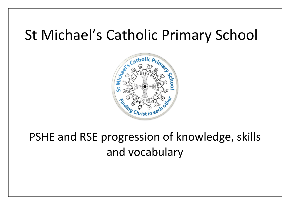## St Michael's Catholic Primary School



PSHE and RSE progression of knowledge, skills and vocabulary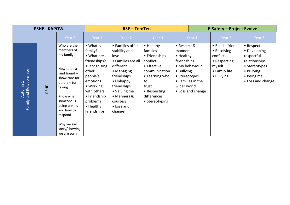|                                                 | <b>PSHE - KAPOW</b> |                                                                                                                                                                                                                                         |                                                                                                                                                                                         | $RSE - Ten:Ten$                                                                                                                                                                                          |                                                                                                                                                                        |                                                                                                  | <b>E-Safety - Project Evolve</b>                         |                                                                                                      |                                                                                                                            |  |
|-------------------------------------------------|---------------------|-----------------------------------------------------------------------------------------------------------------------------------------------------------------------------------------------------------------------------------------|-----------------------------------------------------------------------------------------------------------------------------------------------------------------------------------------|----------------------------------------------------------------------------------------------------------------------------------------------------------------------------------------------------------|------------------------------------------------------------------------------------------------------------------------------------------------------------------------|--------------------------------------------------------------------------------------------------|----------------------------------------------------------|------------------------------------------------------------------------------------------------------|----------------------------------------------------------------------------------------------------------------------------|--|
|                                                 |                     | Year F                                                                                                                                                                                                                                  | Year 1                                                                                                                                                                                  | Year 2                                                                                                                                                                                                   | Year 3                                                                                                                                                                 |                                                                                                  | Year 4                                                   | Year 5                                                                                               | Year 6                                                                                                                     |  |
| Family and Relationships<br>Autumn <sub>1</sub> | PSHE                | Who are the<br>members of<br>my family<br>How to be a<br>kind friend $-$<br>show care for<br>others – turn<br>taking<br>Know when<br>someone is<br>being unkind<br>and how to<br>respond<br>Why we say<br>sorry/showing<br>we are sorry | • What is<br>family?<br>• What are<br>friendships?<br>•Recognising<br>other<br>people's<br>emotions<br>• Working<br>with others<br>• Friendship<br>problems<br>• Healthy<br>Friendships | • Families offer<br>stability and<br>love<br>• Families are all<br>different<br>• Managing<br>friendships<br>• Unhappy<br>friendships<br>• Valuing me<br>• Manners &<br>courtesy<br>• Loss and<br>change | • Healthy<br>families<br>• Friendships -<br>conflict<br>• Effective<br>communication<br>• Learning who<br>to<br>trust<br>• Respecting<br>differences<br>• Stereotyping | • Respect &<br>manners<br>• Healthy<br>friendships<br>• Bullying<br>• Stereotypes<br>wider world | • My behaviour<br>• Families in the<br>• Loss and change | • Build a friend<br>• Resolving<br>conflict<br>• Respecting<br>myself<br>• Family life<br>• Bullying | • Respect<br>• Developing<br>respectful<br>relationships<br>• Stereotypes<br>• Bullying<br>• Being me<br>• Loss and change |  |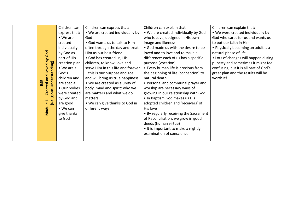|                                  | Children can     | Children can express that:         | Children can explain that:             | Children can explain that:             |
|----------------------------------|------------------|------------------------------------|----------------------------------------|----------------------------------------|
|                                  | express that:    | • We are created individually by   | • We are created individually by God   | . We were created individually by      |
|                                  | $\bullet$ We are | God                                | who is Love, designed in His own       | God who cares for us and wants us      |
|                                  | created          | • God wants us to talk to Him      | image and likeness                     | to put our faith in Him                |
|                                  | individually     | often through the day and treat    | • God made us with the desire to be    | • Physically becoming an adult is a    |
|                                  | by God as        | Him as our best friend             | loved and to love and to make a        | natural phase of life                  |
|                                  | part of His      | • God has created us, His          | difference: each of us has a specific  | • Lots of changes will happen during   |
|                                  | creation plan    | children, to know, love and        | purpose (vocation)                     | puberty and sometimes it might feel    |
|                                  | • We are all     | serve Him in this life and forever | • Every human life is precious from    | confusing, but it is all part of God's |
|                                  | God's            | - this is our purpose and goal     | the beginning of life (conception) to  | great plan and the results will be     |
| and Loved by God                 | children and     | and will bring us true happiness   | natural death                          | worth it!                              |
| Understanding)<br>RSE<br>Created | are special      | • We are created as a unity of     | • Personal and communal prayer and     |                                        |
|                                  | • Our bodies     | body, mind and spirit: who we      | worship are necessary ways of          |                                        |
| (Religious                       | were created     | are matters and what we do         | growing in our relationship with God   |                                        |
|                                  | by God and       | matters                            | . In Baptism God makes us His          |                                        |
|                                  | are good         | • We can give thanks to God in     | adopted children and 'receivers' of    |                                        |
| Module                           | $\bullet$ We can | different ways                     | His love                               |                                        |
|                                  | give thanks      |                                    | • By regularly receiving the Sacrament |                                        |
|                                  | to God           |                                    | of Reconciliation, we grow in good     |                                        |
|                                  |                  |                                    | deeds (human virtue)                   |                                        |
|                                  |                  |                                    | . It is important to make a nightly    |                                        |
|                                  |                  |                                    | examination of conscience              |                                        |
|                                  |                  |                                    |                                        |                                        |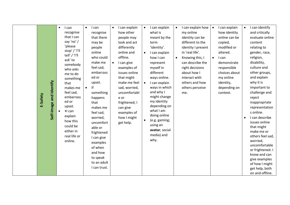| E-Safety | $\bullet$<br>Self-image and Identify | I can<br>recognise<br>that I can<br>say 'no' /<br>'please<br>stop' / 'I'll<br>tell' / 'I'll<br>ask' to<br>somebody<br>who asks<br>me to do<br>something<br>that<br>makes me<br>feel sad,<br>embarrass<br>ed or<br>upset.<br>$\bullet$ can<br>explain<br>how this<br>could be<br>either in<br>real life or<br>online. | $\bullet$<br>I can<br>recognise<br>that there<br>may be<br>people<br>online<br>who could<br>make me<br>feel sad,<br>embarrass<br>ed or<br>upset.<br>lf<br>$\bullet$<br>something<br>happens<br>that<br>makes me<br>feel sad,<br>worried,<br>uncomfort<br>able or<br>frightened<br>I can give<br>examples<br>of when<br>and how<br>to speak<br>to an adult<br>I can trust. | I can explain<br>$\bullet$<br>how other<br>people may<br>look and act<br>differently<br>online and<br>offline.<br>I can give<br>$\bullet$<br>examples of<br>issues online<br>that might<br>make me feel<br>sad, worried,<br>uncomfortabl<br>e or<br>frightened; I<br>can give<br>examples of<br>how I might<br>get help. | I can explain<br>$\bullet$<br>what is<br>meant by the<br>term<br>'identity'.<br>I can explain<br>$\bullet$<br>how I can<br>represent<br>myself in<br>different<br>ways online.<br>I can explain<br>$\bullet$<br>ways in which<br>and why I<br>might change<br>my identity<br>depending on<br>what I am<br>doing online<br>(e.g. gaming;<br>$\bullet$<br>using an<br>avatar; social<br>media) and<br>why. | I can explain how<br>$\bullet$<br>my online<br>identity can be<br>different to the<br>identity I present<br>in 'real life'.<br>Knowing this, I<br>$\bullet$<br>can describe the<br>right decisions<br>about how I<br>interact with<br>others and how<br>others perceive<br>me. | I can explain<br>$\bullet$<br>how identity<br>online can be<br>copied,<br>modified or<br>altered.<br>I can<br>$\bullet$<br>demonstrate<br>responsible<br>choices about<br>my online<br>identity,<br>depending on<br>context. | I can identify<br>$\bullet$<br>and critically<br>evaluate online<br>content<br>relating to<br>gender, race,<br>religion,<br>disability,<br>culture and<br>other groups,<br>and explain<br>why it is<br>important to<br>challenge and<br>reject<br>inappropriate<br>representation<br>s online.<br>I can describe<br>$\bullet$<br>issues online<br>that might<br>make me or<br>others feel sad,<br>worried,<br>uncomfortable<br>or frightened. I<br>know and can<br>give examples<br>of how I might<br>get help, both<br>on and offline. |
|----------|--------------------------------------|----------------------------------------------------------------------------------------------------------------------------------------------------------------------------------------------------------------------------------------------------------------------------------------------------------------------|---------------------------------------------------------------------------------------------------------------------------------------------------------------------------------------------------------------------------------------------------------------------------------------------------------------------------------------------------------------------------|--------------------------------------------------------------------------------------------------------------------------------------------------------------------------------------------------------------------------------------------------------------------------------------------------------------------------|----------------------------------------------------------------------------------------------------------------------------------------------------------------------------------------------------------------------------------------------------------------------------------------------------------------------------------------------------------------------------------------------------------|--------------------------------------------------------------------------------------------------------------------------------------------------------------------------------------------------------------------------------------------------------------------------------|------------------------------------------------------------------------------------------------------------------------------------------------------------------------------------------------------------------------------|-----------------------------------------------------------------------------------------------------------------------------------------------------------------------------------------------------------------------------------------------------------------------------------------------------------------------------------------------------------------------------------------------------------------------------------------------------------------------------------------------------------------------------------------|
|----------|--------------------------------------|----------------------------------------------------------------------------------------------------------------------------------------------------------------------------------------------------------------------------------------------------------------------------------------------------------------------|---------------------------------------------------------------------------------------------------------------------------------------------------------------------------------------------------------------------------------------------------------------------------------------------------------------------------------------------------------------------------|--------------------------------------------------------------------------------------------------------------------------------------------------------------------------------------------------------------------------------------------------------------------------------------------------------------------------|----------------------------------------------------------------------------------------------------------------------------------------------------------------------------------------------------------------------------------------------------------------------------------------------------------------------------------------------------------------------------------------------------------|--------------------------------------------------------------------------------------------------------------------------------------------------------------------------------------------------------------------------------------------------------------------------------|------------------------------------------------------------------------------------------------------------------------------------------------------------------------------------------------------------------------------|-----------------------------------------------------------------------------------------------------------------------------------------------------------------------------------------------------------------------------------------------------------------------------------------------------------------------------------------------------------------------------------------------------------------------------------------------------------------------------------------------------------------------------------------|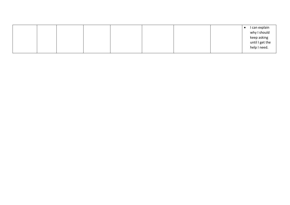|  |  |  |  | I can explain   |
|--|--|--|--|-----------------|
|  |  |  |  | why I should    |
|  |  |  |  | keep asking     |
|  |  |  |  | until I get the |
|  |  |  |  | help I need.    |
|  |  |  |  |                 |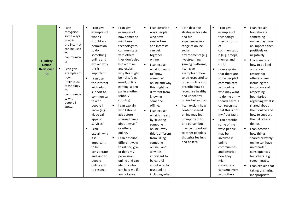| <b>E-Safety</b><br><b>Online</b><br><b>Relationsh</b><br>ips | $\bullet$<br>I can<br>recognise<br>some ways<br>in which<br>the internet<br>can be used<br>to<br>communica<br>te.<br>$\bullet$<br>I can give<br>examples of<br>how I<br>(might) use<br>technology<br>to<br>communica<br>te with<br>people I<br>know. | $\bullet$<br>I can give<br>examples of<br>when I<br>should ask<br>permission<br>to do<br>something<br>online and<br>explain why<br>this is<br>important.<br>$\bullet$<br>I can use<br>the internet<br>with adult<br>support to<br>communica<br>te with<br>people I<br>know (e.g.<br>video call<br>apps or<br>services).<br>$\bullet$<br>I can<br>explain why<br>it is<br>important<br>to be<br>considerate<br>and kind to<br>people<br>online and<br>to respect | I can give<br>$\bullet$<br>examples of<br>how someone<br>might use<br>technology to<br>communicate<br>with others<br>they don't also<br>know offline<br>and explain<br>why this might<br>be risky. (e.g.<br>email, online<br>gaming, a pen-<br>pal in another<br>school /<br>country).<br>I can explain<br>$\bullet$<br>who I should<br>ask before<br>sharing things<br>about myself<br>or others<br>online.<br>I can describe<br>$\bullet$<br>different ways<br>to ask for, give,<br>or deny my<br>permission<br>online and can<br>identify who<br>can help me if I<br>am not sure. | I can describe<br>$\bullet$<br>ways people<br>who have<br>similar likes<br>and interests<br>can get<br>together<br>online.<br>$\bullet$<br>I can explain<br>what it means<br>to 'know<br>someone'<br>online and why<br>this might be<br>different from<br>knowing<br>someone<br>offline.<br>$\bullet$<br>I can explain<br>what is meant<br>by 'trusting<br>someone<br>online', why<br>this is different<br>from 'liking<br>someone<br>online', and<br>why it is<br>important to<br>be careful<br>about who to<br>trust online<br>including what | I can describe<br>$\bullet$<br>strategies for safe<br>and fun<br>experiences in a<br>range of online<br>social<br>environments (e.g.<br>livestreaming,<br>gaming platforms)<br>I can give<br>examples of how<br>to be respectful to<br>others online and<br>describe how to<br>recognise healthy<br>and unhealthy<br>online behaviours.<br>$\bullet$<br>I can explain how<br>content shared<br>online may feel<br>unimportant to<br>one person but<br>may be important<br>to other people's<br>thoughts feelings<br>and beliefs. | $\bullet$<br>I can give<br>examples of<br>technology-<br>specific forms<br>of<br>communicatio<br>n (e.g. emojis,<br>memes and<br>GIFs).<br>I can explain<br>$\bullet$<br>that there are<br>some people I<br>communicate<br>with online<br>who may want<br>to do me or my<br>friends harm. I<br>can recognise<br>that this is not<br>my / our fault.<br>I can describe<br>$\bullet$<br>some of the<br>ways people<br>may be<br>involved in<br>online<br>communities<br>and describe<br>how they<br>might<br>collaborate<br>constructively<br>with others | I can explain<br>$\bullet$<br>how sharing<br>something<br>online may have<br>an impact either<br>positively or<br>negatively.<br>I can describe<br>how to be kind<br>and show<br>respect for<br>others online<br>including the<br>importance of<br>respecting<br>boundaries<br>regarding what is<br>shared about<br>them online and<br>how to support<br>them if others<br>do not.<br>I can describe<br>$\bullet$<br>how things<br>shared privately<br>online can have<br>unintended<br>consequences<br>for others. e.g.<br>screen-grabs.<br>I can explain that<br>$\bullet$<br>taking or sharing<br>inappropriate |
|--------------------------------------------------------------|------------------------------------------------------------------------------------------------------------------------------------------------------------------------------------------------------------------------------------------------------|-----------------------------------------------------------------------------------------------------------------------------------------------------------------------------------------------------------------------------------------------------------------------------------------------------------------------------------------------------------------------------------------------------------------------------------------------------------------|--------------------------------------------------------------------------------------------------------------------------------------------------------------------------------------------------------------------------------------------------------------------------------------------------------------------------------------------------------------------------------------------------------------------------------------------------------------------------------------------------------------------------------------------------------------------------------------|-------------------------------------------------------------------------------------------------------------------------------------------------------------------------------------------------------------------------------------------------------------------------------------------------------------------------------------------------------------------------------------------------------------------------------------------------------------------------------------------------------------------------------------------------|----------------------------------------------------------------------------------------------------------------------------------------------------------------------------------------------------------------------------------------------------------------------------------------------------------------------------------------------------------------------------------------------------------------------------------------------------------------------------------------------------------------------------------|---------------------------------------------------------------------------------------------------------------------------------------------------------------------------------------------------------------------------------------------------------------------------------------------------------------------------------------------------------------------------------------------------------------------------------------------------------------------------------------------------------------------------------------------------------|--------------------------------------------------------------------------------------------------------------------------------------------------------------------------------------------------------------------------------------------------------------------------------------------------------------------------------------------------------------------------------------------------------------------------------------------------------------------------------------------------------------------------------------------------------------------------------------------------------------------|
|--------------------------------------------------------------|------------------------------------------------------------------------------------------------------------------------------------------------------------------------------------------------------------------------------------------------------|-----------------------------------------------------------------------------------------------------------------------------------------------------------------------------------------------------------------------------------------------------------------------------------------------------------------------------------------------------------------------------------------------------------------------------------------------------------------|--------------------------------------------------------------------------------------------------------------------------------------------------------------------------------------------------------------------------------------------------------------------------------------------------------------------------------------------------------------------------------------------------------------------------------------------------------------------------------------------------------------------------------------------------------------------------------------|-------------------------------------------------------------------------------------------------------------------------------------------------------------------------------------------------------------------------------------------------------------------------------------------------------------------------------------------------------------------------------------------------------------------------------------------------------------------------------------------------------------------------------------------------|----------------------------------------------------------------------------------------------------------------------------------------------------------------------------------------------------------------------------------------------------------------------------------------------------------------------------------------------------------------------------------------------------------------------------------------------------------------------------------------------------------------------------------|---------------------------------------------------------------------------------------------------------------------------------------------------------------------------------------------------------------------------------------------------------------------------------------------------------------------------------------------------------------------------------------------------------------------------------------------------------------------------------------------------------------------------------------------------------|--------------------------------------------------------------------------------------------------------------------------------------------------------------------------------------------------------------------------------------------------------------------------------------------------------------------------------------------------------------------------------------------------------------------------------------------------------------------------------------------------------------------------------------------------------------------------------------------------------------------|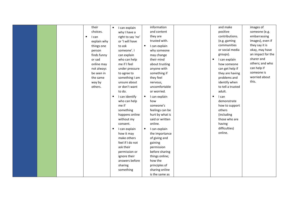| their<br>choices.<br>$\bullet$<br>I can<br>explain why<br>things one<br>person<br>finds funny<br>or sad<br>online may<br>not always<br>be seen in<br>the same<br>way by<br>others. | I can explain<br>$\bullet$<br>why I have a<br>right to say 'no'<br>or 'I will have<br>to ask<br>someone'. I<br>can explain<br>who can help<br>me if I feel<br>under pressure<br>to agree to<br>something I am<br>unsure about<br>or don't want<br>to do.<br>I can identify<br>$\bullet$<br>who can help<br>me if<br>something | information<br>and content<br>they are<br>trusted with.<br>$\bullet$<br>I can explain<br>why someone<br>may change<br>their mind<br>about trusting<br>anyone with<br>something if<br>they feel<br>nervous,<br>uncomfortable<br>or worried.<br>$\bullet$<br>I can explain<br>how<br>someone's<br>feelings can be | and make<br>positive<br>contributions.<br>(e.g. gaming<br>communities<br>or social media<br>groups).<br>$\bullet$<br>I can explain<br>how someone<br>can get help if<br>they are having<br>problems and<br>identify when<br>to tell a trusted<br>adult.<br>$\bullet$<br>I can<br>demonstrate<br>how to support<br>others | images of<br>someone (e.g.<br>embarrassing<br>images), even if<br>they say it is<br>okay, may have<br>an impact for the<br>sharer and<br>others; and who<br>can help if<br>someone is<br>worried about<br>this. |
|------------------------------------------------------------------------------------------------------------------------------------------------------------------------------------|-------------------------------------------------------------------------------------------------------------------------------------------------------------------------------------------------------------------------------------------------------------------------------------------------------------------------------|-----------------------------------------------------------------------------------------------------------------------------------------------------------------------------------------------------------------------------------------------------------------------------------------------------------------|--------------------------------------------------------------------------------------------------------------------------------------------------------------------------------------------------------------------------------------------------------------------------------------------------------------------------|-----------------------------------------------------------------------------------------------------------------------------------------------------------------------------------------------------------------|
|                                                                                                                                                                                    |                                                                                                                                                                                                                                                                                                                               |                                                                                                                                                                                                                                                                                                                 |                                                                                                                                                                                                                                                                                                                          |                                                                                                                                                                                                                 |
|                                                                                                                                                                                    |                                                                                                                                                                                                                                                                                                                               |                                                                                                                                                                                                                                                                                                                 |                                                                                                                                                                                                                                                                                                                          |                                                                                                                                                                                                                 |
|                                                                                                                                                                                    |                                                                                                                                                                                                                                                                                                                               |                                                                                                                                                                                                                                                                                                                 |                                                                                                                                                                                                                                                                                                                          |                                                                                                                                                                                                                 |
|                                                                                                                                                                                    |                                                                                                                                                                                                                                                                                                                               |                                                                                                                                                                                                                                                                                                                 |                                                                                                                                                                                                                                                                                                                          |                                                                                                                                                                                                                 |
|                                                                                                                                                                                    |                                                                                                                                                                                                                                                                                                                               |                                                                                                                                                                                                                                                                                                                 |                                                                                                                                                                                                                                                                                                                          |                                                                                                                                                                                                                 |
|                                                                                                                                                                                    |                                                                                                                                                                                                                                                                                                                               |                                                                                                                                                                                                                                                                                                                 |                                                                                                                                                                                                                                                                                                                          |                                                                                                                                                                                                                 |
|                                                                                                                                                                                    |                                                                                                                                                                                                                                                                                                                               |                                                                                                                                                                                                                                                                                                                 |                                                                                                                                                                                                                                                                                                                          |                                                                                                                                                                                                                 |
|                                                                                                                                                                                    |                                                                                                                                                                                                                                                                                                                               |                                                                                                                                                                                                                                                                                                                 |                                                                                                                                                                                                                                                                                                                          |                                                                                                                                                                                                                 |
|                                                                                                                                                                                    | happens online                                                                                                                                                                                                                                                                                                                | hurt by what is                                                                                                                                                                                                                                                                                                 | (including                                                                                                                                                                                                                                                                                                               |                                                                                                                                                                                                                 |
|                                                                                                                                                                                    | without my                                                                                                                                                                                                                                                                                                                    | said or written                                                                                                                                                                                                                                                                                                 | those who are                                                                                                                                                                                                                                                                                                            |                                                                                                                                                                                                                 |
|                                                                                                                                                                                    | consent.                                                                                                                                                                                                                                                                                                                      | online.                                                                                                                                                                                                                                                                                                         | having                                                                                                                                                                                                                                                                                                                   |                                                                                                                                                                                                                 |
|                                                                                                                                                                                    | I can explain<br>$\bullet$                                                                                                                                                                                                                                                                                                    | I can explain<br>$\bullet$                                                                                                                                                                                                                                                                                      | difficulties)                                                                                                                                                                                                                                                                                                            |                                                                                                                                                                                                                 |
|                                                                                                                                                                                    | how it may                                                                                                                                                                                                                                                                                                                    | the importance                                                                                                                                                                                                                                                                                                  | online.                                                                                                                                                                                                                                                                                                                  |                                                                                                                                                                                                                 |
|                                                                                                                                                                                    | make others                                                                                                                                                                                                                                                                                                                   | of giving and                                                                                                                                                                                                                                                                                                   |                                                                                                                                                                                                                                                                                                                          |                                                                                                                                                                                                                 |
|                                                                                                                                                                                    | feel if I do not                                                                                                                                                                                                                                                                                                              | gaining                                                                                                                                                                                                                                                                                                         |                                                                                                                                                                                                                                                                                                                          |                                                                                                                                                                                                                 |
|                                                                                                                                                                                    | ask their                                                                                                                                                                                                                                                                                                                     | permission                                                                                                                                                                                                                                                                                                      |                                                                                                                                                                                                                                                                                                                          |                                                                                                                                                                                                                 |
|                                                                                                                                                                                    | permission or                                                                                                                                                                                                                                                                                                                 | before sharing                                                                                                                                                                                                                                                                                                  |                                                                                                                                                                                                                                                                                                                          |                                                                                                                                                                                                                 |
|                                                                                                                                                                                    | ignore their                                                                                                                                                                                                                                                                                                                  | things online;                                                                                                                                                                                                                                                                                                  |                                                                                                                                                                                                                                                                                                                          |                                                                                                                                                                                                                 |
|                                                                                                                                                                                    | answers before                                                                                                                                                                                                                                                                                                                | how the                                                                                                                                                                                                                                                                                                         |                                                                                                                                                                                                                                                                                                                          |                                                                                                                                                                                                                 |
|                                                                                                                                                                                    | sharing<br>something                                                                                                                                                                                                                                                                                                          | principles of<br>sharing online                                                                                                                                                                                                                                                                                 |                                                                                                                                                                                                                                                                                                                          |                                                                                                                                                                                                                 |
|                                                                                                                                                                                    |                                                                                                                                                                                                                                                                                                                               |                                                                                                                                                                                                                                                                                                                 |                                                                                                                                                                                                                                                                                                                          |                                                                                                                                                                                                                 |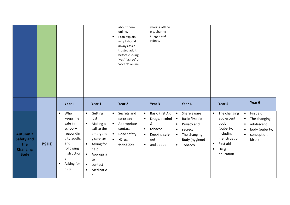|                                                                               |             |                                                                                                                                                            |                                                                                                                                                                                                                          | about them<br>online.<br>I can explain<br>$\bullet$<br>why I should<br>always ask a<br>trusted adult<br>before clicking<br>'yes', 'agree' or<br>'accept' online | sharing offline<br>e.g. sharing<br>images and<br>videos.                                                                                                      |                                                                                                                                                                                     |                                                                                                                                                       |                                                                                                                                                     |
|-------------------------------------------------------------------------------|-------------|------------------------------------------------------------------------------------------------------------------------------------------------------------|--------------------------------------------------------------------------------------------------------------------------------------------------------------------------------------------------------------------------|-----------------------------------------------------------------------------------------------------------------------------------------------------------------|---------------------------------------------------------------------------------------------------------------------------------------------------------------|-------------------------------------------------------------------------------------------------------------------------------------------------------------------------------------|-------------------------------------------------------------------------------------------------------------------------------------------------------|-----------------------------------------------------------------------------------------------------------------------------------------------------|
|                                                                               |             | Year F                                                                                                                                                     | Year 1                                                                                                                                                                                                                   | Year 2                                                                                                                                                          | Year 3                                                                                                                                                        | Year 4                                                                                                                                                                              | Year 5                                                                                                                                                | Year 6                                                                                                                                              |
| <b>Autumn 2</b><br><b>Safety and</b><br>the<br><b>Changing</b><br><b>Body</b> | <b>PSHE</b> | Who<br>$\bullet$<br>keeps me<br>safe in<br>school-<br>respondin<br>g to adults<br>and<br>following<br>instruction<br>S.<br>Asking for<br>$\bullet$<br>help | Getting<br>$\bullet$<br>lost<br>Making a<br>$\bullet$<br>call to the<br>emergenc<br>y services<br>Asking for<br>$\bullet$<br>help<br>$\bullet$<br>Appropria<br>te<br>contact<br>$\bullet$<br>Medicatio<br>$\bullet$<br>n | Secrets and<br>$\bullet$<br>surprises<br>Appropriate<br>$\bullet$<br>contact<br>Road safety<br>$\bullet$<br>$\bullet$ Drug<br>$\bullet$<br>education            | <b>Basic First Aid</b><br>$\bullet$<br>Drugs, alcohol<br>$\bullet$<br>&<br>tobacco<br>$\bullet$<br>Keeping safe<br>$\bullet$<br>out<br>and about<br>$\bullet$ | Share aware<br>$\bullet$<br>Basic first aid<br>$\bullet$<br>Privacy and<br>$\bullet$<br>secrecy<br>$\bullet$<br>The changing<br>$\bullet$<br>Body (hygiene)<br>Tobacco<br>$\bullet$ | The changing<br>$\bullet$<br>adolescent<br>body<br>(puberty,<br>including<br>menstruation<br>First aid<br>$\bullet$<br>Drug<br>$\bullet$<br>education | First aid<br>$\bullet$<br>The changing<br>$\bullet$<br>adolescent<br>$\bullet$<br>body (puberty,<br>$\bullet$<br>conception,<br>$\bullet$<br>birth) |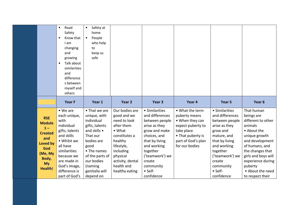|                                                                                                                              | Road<br>$\bullet$<br>Safety<br>Know that<br>$\bullet$<br>I am<br>changing<br>and<br>growing<br>Talk about<br>$\bullet$<br>similarities<br>and<br>difference<br>s between<br>myself and<br>others                 | Safety at<br>$\bullet$<br>home<br>People<br>$\bullet$<br>who help<br>to<br>keep us<br>safe                                                                                                                |                                                                                                                                                                                              |                                                                                                                                                                                                                       |                                                                                                                                                     |                                                                                                                                                                                                                         |                                                                                                                                                                                                                                                   |
|------------------------------------------------------------------------------------------------------------------------------|------------------------------------------------------------------------------------------------------------------------------------------------------------------------------------------------------------------|-----------------------------------------------------------------------------------------------------------------------------------------------------------------------------------------------------------|----------------------------------------------------------------------------------------------------------------------------------------------------------------------------------------------|-----------------------------------------------------------------------------------------------------------------------------------------------------------------------------------------------------------------------|-----------------------------------------------------------------------------------------------------------------------------------------------------|-------------------------------------------------------------------------------------------------------------------------------------------------------------------------------------------------------------------------|---------------------------------------------------------------------------------------------------------------------------------------------------------------------------------------------------------------------------------------------------|
|                                                                                                                              | Year F                                                                                                                                                                                                           | Year 1                                                                                                                                                                                                    | Year 2                                                                                                                                                                                       | Year <sub>3</sub>                                                                                                                                                                                                     | Year 4                                                                                                                                              | Year 5                                                                                                                                                                                                                  | Year <sub>6</sub>                                                                                                                                                                                                                                 |
| <b>RSE</b><br><b>Module</b><br>$1 -$<br><b>Created</b><br>and<br>Loved by<br>God<br>(Me, My<br>Body,<br><b>My</b><br>Health) | $\bullet$ We are<br>each unique,<br>with<br>individual<br>gifts, talents<br>and skills<br>• Whilst we<br>all have<br>similarities<br>because we<br>are made in<br>God's image,<br>difference is<br>part of God's | • That we are<br>unique, with<br>individual<br>gifts, talents<br>and skills •<br>That our<br>bodies are<br>good<br>• The names<br>of the parts of<br>our bodies<br>(naming<br>genitalia will<br>depend on | Our bodies are<br>good and we<br>need to look<br>after them<br>• What<br>constitutes a<br>healthy<br>lifestyle,<br>including<br>physical<br>activity, dental<br>health and<br>healthy eating | • Similarities<br>and differences<br>between people<br>arise as they<br>grow and make<br>choices, and<br>that by living<br>and working<br>together<br>('teamwork') we<br>create<br>community<br>• Self-<br>confidence | • What the term<br>puberty means<br>• When they can<br>expect puberty to<br>take place<br>• That puberty is<br>part of God's plan<br>for our bodies | • Similarities<br>and differences<br>between people<br>arise as they<br>grow and<br>mature, and<br>that by living<br>and working<br>together<br>('teamwork') we<br>create<br>community<br>$\bullet$ Self-<br>confidence | That human<br>beings are<br>different to other<br>animals<br>• About the<br>unique growth<br>and development<br>of humans, and<br>the changes that<br>girls and boys will<br>experience during<br>puberty<br>• About the need<br>to respect their |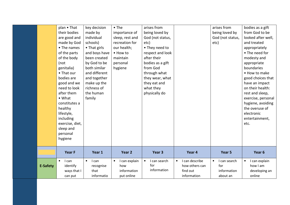|                 | plan • That<br>their bodies<br>are good and<br>made by God<br>• The names<br>of the parts<br>of the body<br>(not<br>genitalia)<br>• That our<br>bodies are<br>good and we<br>need to look<br>after them<br>$\bullet$ What<br>constitutes a<br>healthy<br>lifestyle,<br>including<br>exercise, diet,<br>sleep and<br>personal<br>hygiene | key decision<br>made by<br>individual<br>schools)<br>• That girls<br>and boys have<br>been created<br>by God to be<br>both similar<br>and different<br>and together<br>make up the<br>richness of<br>the human<br>family | $\bullet$ The<br>importance of<br>sleep, rest and<br>recreation for<br>our health;<br>• How to<br>maintain<br>personal<br>hygiene | arises from<br>being loved by<br>God (not status,<br>etc)<br>• They need to<br>respect and look<br>after their<br>bodies as a gift<br>from God<br>through what<br>they wear, what<br>they eat and<br>what they<br>physically do |                                                                          | arises from<br>being loved by<br>God (not status,<br>etc) | bodies as a gift<br>from God to be<br>looked after well,<br>and treated<br>appropriately<br>• The need for<br>modesty and<br>appropriate<br>boundaries<br>• How to make<br>good choices that<br>have an impact<br>on their health:<br>rest and sleep,<br>exercise, personal<br>hygiene, avoiding<br>the overuse of<br>electronic<br>entertainment,<br>etc. |
|-----------------|-----------------------------------------------------------------------------------------------------------------------------------------------------------------------------------------------------------------------------------------------------------------------------------------------------------------------------------------|--------------------------------------------------------------------------------------------------------------------------------------------------------------------------------------------------------------------------|-----------------------------------------------------------------------------------------------------------------------------------|---------------------------------------------------------------------------------------------------------------------------------------------------------------------------------------------------------------------------------|--------------------------------------------------------------------------|-----------------------------------------------------------|------------------------------------------------------------------------------------------------------------------------------------------------------------------------------------------------------------------------------------------------------------------------------------------------------------------------------------------------------------|
|                 | Year F                                                                                                                                                                                                                                                                                                                                  | Year 1                                                                                                                                                                                                                   | Year 2                                                                                                                            | Year 3                                                                                                                                                                                                                          | Year 4                                                                   | Year 5                                                    | Year 6                                                                                                                                                                                                                                                                                                                                                     |
| <b>E-Safety</b> | $\bullet$<br>I can<br>identify<br>ways that I<br>can put                                                                                                                                                                                                                                                                                | I can<br>$\bullet$<br>recognise<br>that<br>informatio                                                                                                                                                                    | I can explain<br>$\bullet$<br>how<br>information<br>put online                                                                    | I can search<br>$\bullet$<br>for<br>information                                                                                                                                                                                 | I can describe<br>$\bullet$<br>how others can<br>find out<br>information | I can search<br>for<br>information<br>about an            | I can explain<br>$\bullet$<br>how I am<br>developing an<br>online                                                                                                                                                                                                                                                                                          |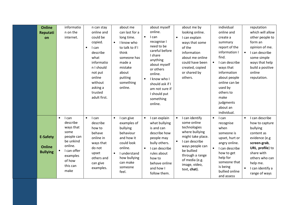| <b>Online</b><br>Reputati<br>on                     | informatio<br>n on the<br>internet.                                                                                                                | n can stay<br>online and<br>could be<br>copied.<br>I can<br>$\bullet$<br>describe<br>what<br>informatio<br>n I should<br>not put<br>online<br>without<br>asking a<br>trusted<br>adult first. | about me<br>can last for a<br>long time.<br>I know who<br>$\bullet$<br>to talk to if I<br>think<br>someone has<br>made a<br>mistake<br>about<br>putting<br>something<br>online.     | about myself<br>online.<br>I can<br>$\bullet$<br>recognise I<br>need to be<br>careful before<br>I share<br>anything<br>about myself<br>or others<br>online.<br>I know who I<br>$\bullet$<br>should ask if I<br>am not sure if<br>I should put<br>something<br>online. | about me by<br>looking online.<br>I can explain<br>$\bullet$<br>ways that some<br>of the<br>information<br>about me online<br>could have been<br>created, copied<br>or shared by<br>others.                                             | individual<br>online and<br>create a<br>summary<br>report of the<br>information I<br>find.<br>I can describe<br>$\bullet$<br>ways that<br>information<br>about people<br>online can be<br>used by<br>others to<br>make<br>judgments<br>about an<br>individual. | reputation<br>which will allow<br>other people to<br>form an<br>opinion of me.<br>I can describe<br>some simple<br>ways that help<br>build a positive<br>online<br>reputation.                                |
|-----------------------------------------------------|----------------------------------------------------------------------------------------------------------------------------------------------------|----------------------------------------------------------------------------------------------------------------------------------------------------------------------------------------------|-------------------------------------------------------------------------------------------------------------------------------------------------------------------------------------|-----------------------------------------------------------------------------------------------------------------------------------------------------------------------------------------------------------------------------------------------------------------------|-----------------------------------------------------------------------------------------------------------------------------------------------------------------------------------------------------------------------------------------|----------------------------------------------------------------------------------------------------------------------------------------------------------------------------------------------------------------------------------------------------------------|---------------------------------------------------------------------------------------------------------------------------------------------------------------------------------------------------------------|
| <b>E-Safety</b><br><b>Online</b><br><b>Bullying</b> | I can<br>$\bullet$<br>describe<br>ways that<br>some<br>people can<br>be unkind<br>online.<br>I can offer<br>examples<br>of how<br>this can<br>make | I can<br>$\bullet$<br>describe<br>how to<br>behave<br>online in<br>ways that<br>do not<br>upset<br>others and<br>can give<br>examples.                                                       | I can give<br>$\bullet$<br>examples of<br>bullying<br>behaviour<br>and how it<br>could look<br>online.<br>I understand<br>$\bullet$<br>how bullying<br>can make<br>someone<br>feel. | I can explain<br>$\bullet$<br>what bullying<br>is and can<br>describe how<br>people may<br>bully others.<br>I can describe<br>$\bullet$<br>rules about<br>how to<br>behave online<br>and how I<br>follow them.                                                        | I can identify<br>$\bullet$<br>some online<br>technologies<br>where bullying<br>might take place.<br>I can describe<br>$\bullet$<br>ways people can<br>be bullied<br>through a range<br>of media (e.g.<br>image, video,<br>text, chat). | I can<br>$\bullet$<br>recognise<br>when<br>someone is<br>upset, hurt or<br>angry online.<br>I can describe<br>how to get<br>help for<br>someone that<br>is being<br>bullied online<br>and assess                                                               | I can describe<br>how to capture<br>bullying<br>content as<br>evidence (e.g<br>screen-grab,<br>URL, profile) to<br>share with<br>others who can<br>help me.<br>$\bullet$<br>I can identify a<br>range of ways |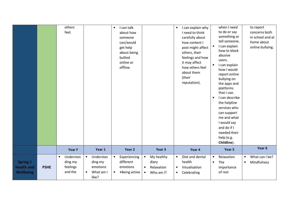|                                                          |             | others<br>feel.                                          |                                                                                  | I can talk<br>$\bullet$<br>about how<br>someone<br>can/would<br>get help<br>about being<br>bullied<br>online or<br>offline. |                                                                                       | I can explain why<br>$\bullet$<br>I need to think<br>carefully about<br>how content I<br>post might affect<br>others, their<br>feelings and how<br>it may affect<br>how others feel<br>about them<br>(their<br>reputation). | when I need<br>to do or say<br>something or<br>tell someone.<br>I can explain<br>$\bullet$<br>how to block<br>abusive<br>users.<br>I can explain<br>how I would<br>report online<br>bullying on<br>the apps and<br>platforms<br>that I use.<br>I can describe<br>$\bullet$<br>the helpline<br>services who<br>can support<br>me and what<br>I would say<br>and do if I<br>needed their<br>help (e.g.<br>Childline). | to report<br>concerns both<br>in school and at<br>home about<br>online bullying. |
|----------------------------------------------------------|-------------|----------------------------------------------------------|----------------------------------------------------------------------------------|-----------------------------------------------------------------------------------------------------------------------------|---------------------------------------------------------------------------------------|-----------------------------------------------------------------------------------------------------------------------------------------------------------------------------------------------------------------------------|---------------------------------------------------------------------------------------------------------------------------------------------------------------------------------------------------------------------------------------------------------------------------------------------------------------------------------------------------------------------------------------------------------------------|----------------------------------------------------------------------------------|
|                                                          |             | Year F                                                   | Year 1                                                                           | Year 2                                                                                                                      | Year <sub>3</sub>                                                                     | Year 4                                                                                                                                                                                                                      | Year 5                                                                                                                                                                                                                                                                                                                                                                                                              | Year 6                                                                           |
| <b>Spring 1</b><br><b>Health and</b><br><b>Wellbeing</b> | <b>PSHE</b> | Understan<br>$\bullet$<br>ding my<br>feelings<br>and the | $\bullet$<br>Understan<br>ding my<br>emotions<br>What am I<br>$\bullet$<br>like? | Experiencing<br>$\bullet$<br>different<br>emotions<br>•Being active<br>$\bullet$                                            | My healthy<br>$\bullet$<br>diary<br>Relaxation<br>$\bullet$<br>Who am I?<br>$\bullet$ | Diet and dental<br>$\bullet$<br>health<br>Visualisation<br>$\bullet$<br>Celebrating<br>$\bullet$                                                                                                                            | Relaxation<br>$\bullet$<br>The<br>$\bullet$<br>importance<br>of rest                                                                                                                                                                                                                                                                                                                                                | What can I be?<br>$\bullet$<br>Mindfulness<br>$\bullet$                          |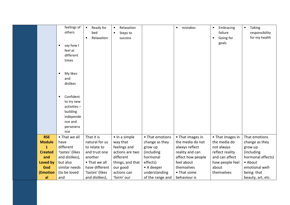|                | feelings of<br>others<br>say how I<br>$\bullet$<br>feel at<br>different<br>times<br>My likes<br>$\bullet$<br>and<br>dislikes<br>Confident<br>$\bullet$<br>to try new<br>activities-<br>building<br>independe<br>nce and<br>persevera<br>nce | Ready for<br>$\bullet$<br>bed<br>Relaxation<br>$\bullet$ | Relaxation<br>$\bullet$<br>Steps to<br>$\bullet$<br>success |                  | mistakes<br>$\bullet$ | Embracing<br>٠<br>failure<br>Going for<br>$\bullet$<br>goals | Taking<br>$\bullet$<br>responsibility<br>for my health |
|----------------|---------------------------------------------------------------------------------------------------------------------------------------------------------------------------------------------------------------------------------------------|----------------------------------------------------------|-------------------------------------------------------------|------------------|-----------------------|--------------------------------------------------------------|--------------------------------------------------------|
| <b>RSE</b>     | • That we all                                                                                                                                                                                                                               | That it is                                               | · In a simple                                               | • That emotions  | • That images in      | • That images in                                             | That emotions                                          |
| <b>Module</b>  | have                                                                                                                                                                                                                                        | natural for us                                           | way that                                                    | change as they   | the media do not      | the media do                                                 | change as they                                         |
| $\mathbf{1}$   | different                                                                                                                                                                                                                                   | to relate to                                             | feelings and                                                | grow up          | always reflect        | not always                                                   | grow up                                                |
| <b>Created</b> | 'tastes' (likes                                                                                                                                                                                                                             | and trust one                                            | actions are two                                             | (including       | reality and can       | reflect reality                                              | (including                                             |
| and            | and dislikes),                                                                                                                                                                                                                              | another                                                  | different                                                   | hormonal         | affect how people     | and can affect                                               | hormonal effects)                                      |
| Loved by       | but also                                                                                                                                                                                                                                    | • That we all                                            | things, and that                                            | effects)         | feel about            | how people feel                                              | • About                                                |
| God            | similar needs                                                                                                                                                                                                                               | have different                                           | our good                                                    | • A deeper       | themselves            | about                                                        | emotional well-                                        |
| (Emotion       | (to be loved                                                                                                                                                                                                                                | 'tastes' (likes                                          | actions can                                                 | understanding    | • That some           | themselves                                                   | being: that                                            |
| al             | and                                                                                                                                                                                                                                         | and dislikes),                                           | 'form' our                                                  | of the range and | behaviour is          |                                                              | beauty, art, etc.                                      |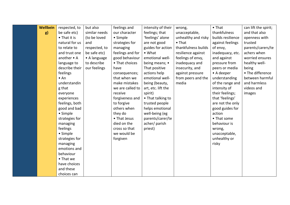| <b>Wellbein</b> | respected, to        | but also      | feelings and     | intensity of their | wrong,              | $\bullet$ That    | can lift the spirit; |
|-----------------|----------------------|---------------|------------------|--------------------|---------------------|-------------------|----------------------|
| g)              | be safe etc)         | similar needs | our character    | feelings; that     | unacceptable,       | thankfulness      | and that also        |
|                 | $\bullet$ That it is | (to be loved  | • Simple         | 'feelings' alone   | unhealthy and risky | builds resilience | openness with        |
|                 | natural for us       | and           | strategies for   | are not good       | $\bullet$ That      | against feelings  | trusted              |
|                 | to relate to         | respected, to | managing         | guides for action  | thankfulness builds | of envy,          | parents/carers/te    |
|                 |                      |               |                  | $\bullet$ What     |                     |                   | achers when          |
|                 | and trust one        | be safe etc)  | feelings and for |                    | resilience against  | inadequacy, etc.  |                      |
|                 | another • A          | • A language  | good behaviour   | emotional well-    | feelings of envy,   | and against       | worried ensures      |
|                 | language to          | to describe   | • That choices   | being means; •     | inadequacy and      | pressure from     | healthy well-        |
|                 | describe their       | our feelings  | have             | That positive      | insecurity, and     | peers or media    | being                |
|                 | feelings             |               | consequences;    | actions help       | against pressure    | • A deeper        | • The difference     |
|                 | • An                 |               | that when we     | emotional well-    | from peers and the  | understanding     | between harmful      |
|                 | understandin         |               | make mistakes    | being (beauty,     | media               | of the range and  | and harmless         |
|                 | g that               |               | we are called to | art, etc. lift the |                     | intensity of      | videos and           |
|                 | everyone             |               | receive          | spirit)            |                     | their feelings;   | images               |
|                 | experiences          |               | forgiveness and  | • That talking to  |                     | that 'feelings'   |                      |
|                 | feelings, both       |               | to forgive       | trusted people     |                     | are not the only  |                      |
|                 | good and bad         |               | others when      | helps emotional    |                     | good guides for   |                      |
|                 | • Simple             |               | they do          | well-being (eg     |                     | action            |                      |
|                 | strategies for       |               | • That Jesus     | parents/carer/te   |                     | • That some       |                      |
|                 | managing             |               | died on the      | acher/parish       |                     | behaviour is      |                      |
|                 | feelings             |               | cross so that    | priest)            |                     | wrong,            |                      |
|                 | • Simple             |               | we would be      |                    |                     | unacceptable,     |                      |
|                 | strategies for       |               | forgiven         |                    |                     | unhealthy or      |                      |
|                 | managing             |               |                  |                    |                     | risky             |                      |
|                 | emotions and         |               |                  |                    |                     |                   |                      |
|                 | behaviour            |               |                  |                    |                     |                   |                      |
|                 | • That we            |               |                  |                    |                     |                   |                      |
|                 | have choices         |               |                  |                    |                     |                   |                      |
|                 | and these            |               |                  |                    |                     |                   |                      |
|                 | choices can          |               |                  |                    |                     |                   |                      |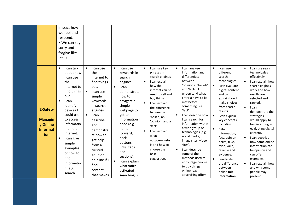|                                                                         | impact how<br>we feel and<br>respond.<br>• We can say<br>sorry and<br>forgive like<br>Jesus                                                                                                                                                                                                                |                                                                                                                                                                                                                                                                                                                |                                                                                                                                                                                                                                                                                                                                                 |                                                                                                                                                                                                                                                                                                                                            |                                                                                                                                                                                                                                                                                                                                                                                                                                                                                                                   |                                                                                                                                                                                                                                                                                                                                                                                                               |                                                                                                                                                                                                                                                                                                                                                                                                                                                                   |
|-------------------------------------------------------------------------|------------------------------------------------------------------------------------------------------------------------------------------------------------------------------------------------------------------------------------------------------------------------------------------------------------|----------------------------------------------------------------------------------------------------------------------------------------------------------------------------------------------------------------------------------------------------------------------------------------------------------------|-------------------------------------------------------------------------------------------------------------------------------------------------------------------------------------------------------------------------------------------------------------------------------------------------------------------------------------------------|--------------------------------------------------------------------------------------------------------------------------------------------------------------------------------------------------------------------------------------------------------------------------------------------------------------------------------------------|-------------------------------------------------------------------------------------------------------------------------------------------------------------------------------------------------------------------------------------------------------------------------------------------------------------------------------------------------------------------------------------------------------------------------------------------------------------------------------------------------------------------|---------------------------------------------------------------------------------------------------------------------------------------------------------------------------------------------------------------------------------------------------------------------------------------------------------------------------------------------------------------------------------------------------------------|-------------------------------------------------------------------------------------------------------------------------------------------------------------------------------------------------------------------------------------------------------------------------------------------------------------------------------------------------------------------------------------------------------------------------------------------------------------------|
| <b>E-Safety</b><br><b>Managin</b><br>g Online<br><b>Informat</b><br>ion | I can talk<br>$\bullet$<br>about how<br>I can use<br>the<br>internet to<br>find things<br>out.<br>I can<br>$\bullet$<br>identify<br>devices I<br>could use<br>to access<br>informatio<br>n on the<br>internet.<br>I can give<br>simple<br>examples<br>of how to<br>find<br>informatio<br>n (e.g.<br>search | $\bullet$<br>I can use<br>the<br>internet to<br>find things<br>out.<br>$\bullet$<br>I can use<br>simple<br>keywords<br>in search<br>engines.<br>I can<br>$\bullet$<br>describe<br>and<br>demonstra<br>te how to<br>get help<br>from a<br>trusted<br>adult or<br>helpline if I<br>find<br>content<br>that makes | $\bullet$<br>I can use<br>keywords in<br>search<br>engines.<br>I can<br>$\bullet$<br>demonstrate<br>how to<br>navigate a<br>simple<br>webpage to<br>get to<br>information I<br>need (e.g.<br>home,<br>forward,<br>back<br>buttons;<br>links, tabs<br>and<br>sections).<br>$\bullet$<br>I can explain<br>what voice<br>activated<br>searching is | I can use key<br>$\bullet$<br>phrases in<br>search engines.<br>I can explain<br>how the<br>internet can be<br>used to sell and<br>buy things.<br>I can explain<br>the difference<br>between a<br>'belief', an<br>'opinion' and a<br>'fact'.<br>I can explain<br>what<br>autocomplete<br>is and how to<br>choose the<br>best<br>suggestion. | $\bullet$<br>I can analyse<br>information and<br>differentiate<br>between<br>'opinions', 'beliefs'<br>and 'facts'. I<br>understand what<br>criteria have to be<br>met before<br>something is a<br>'fact'.<br>I can describe how<br>I can search for<br>information within<br>a wide group of<br>technologies (e.g.<br>social media,<br>image sites, video<br>sites).<br>I can describe<br>$\bullet$<br>some of the<br>methods used to<br>encourage people<br>to buy things<br>online (e.g.<br>advertising offers; | $\bullet$<br>I can use<br>different<br>search<br>technologies.<br>I can evaluate<br>digital content<br>and can<br>explain how I<br>make choices<br>from search<br>results.<br>I can explain<br>key concepts<br>including:<br>data,<br>information,<br>fact, opinion<br>belief, true,<br>false, valid,<br>reliable and<br>evidence.<br>I understand<br>the difference<br>between<br>online mis-<br>information | I can use search<br>technologies<br>effectively.<br>I can explain how<br>search engines<br>work and how<br>results are<br>selected and<br>ranked.<br>$\bullet$<br>I can<br>demonstrate the<br>strategies I<br>would apply to<br>be discerning in<br>evaluating digital<br>content.<br>I can describe<br>$\bullet$<br>how some online<br>information can<br>be opinion and<br>can offer<br>examples.<br>I can explain how<br>and why some<br>people may<br>present |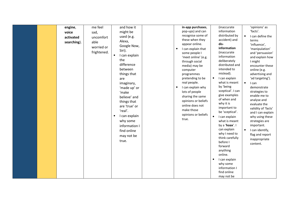| engine,<br>voice<br>activated<br>searching). | me feel<br>sad,<br>uncomfort<br>able<br>worried or<br>frightened. | and how it<br>might be<br>used (e.g.<br>Alexa,<br>Google Now,<br>Siri).<br>I can explain<br>$\bullet$<br>the<br>difference<br>between<br>things that<br>are<br>imaginary,<br>'made up' or<br>'make<br>believe' and<br>things that<br>are 'true' or<br>'real'.<br>I can explain<br>$\bullet$<br>why some<br>information I<br>find online<br>may not be<br>true. | in-app purchases,<br>pop-ups) and can<br>recognise some of<br>these when they<br>appear online.<br>I can explain that<br>$\bullet$<br>some people I<br>'meet online' (e.g.<br>through social<br>media) may be<br>computer<br>programmes<br>pretending to be<br>real people.<br>I can explain why<br>$\bullet$<br>lots of people<br>sharing the same<br>opinions or beliefs<br>online does not<br>make those<br>opinions or beliefs<br>true. | (inaccurate<br>information<br>distributed by<br>accident) and<br>dis-<br>information<br>(inaccurate<br>information<br>deliberately<br>distributed and<br>intended to<br>mislead).<br>I can explain<br>$\bullet$<br>what is meant<br>by 'being<br>sceptical'. I can<br>give examples<br>of when and<br>why it is<br>important to<br>be 'sceptical'.<br>I can explain<br>$\bullet$<br>what is meant<br>by a 'hoax'. I<br>can explain<br>why I need to<br>think carefully<br>before I<br>forward<br>anything<br>online.<br>I can explain<br>$\bullet$<br>why some<br>information I<br>find online | 'opinions' as<br>'facts'.<br>I can define the<br>$\bullet$<br>terms<br>'influence',<br>'manipulation'<br>and 'persuasion'<br>and explain how<br>I might<br>encounter these<br>online (e.g.<br>advertising and<br>'ad targeting').<br>$\bullet$<br>I can<br>demonstrate<br>strategies to<br>enable me to<br>analyse and<br>evaluate the<br>validity of 'facts'<br>and I can explain<br>why using these<br>strategies are<br>important.<br>I can identify,<br>$\bullet$<br>flag and report<br>inappropriate<br>content. |
|----------------------------------------------|-------------------------------------------------------------------|----------------------------------------------------------------------------------------------------------------------------------------------------------------------------------------------------------------------------------------------------------------------------------------------------------------------------------------------------------------|---------------------------------------------------------------------------------------------------------------------------------------------------------------------------------------------------------------------------------------------------------------------------------------------------------------------------------------------------------------------------------------------------------------------------------------------|------------------------------------------------------------------------------------------------------------------------------------------------------------------------------------------------------------------------------------------------------------------------------------------------------------------------------------------------------------------------------------------------------------------------------------------------------------------------------------------------------------------------------------------------------------------------------------------------|-----------------------------------------------------------------------------------------------------------------------------------------------------------------------------------------------------------------------------------------------------------------------------------------------------------------------------------------------------------------------------------------------------------------------------------------------------------------------------------------------------------------------|
|----------------------------------------------|-------------------------------------------------------------------|----------------------------------------------------------------------------------------------------------------------------------------------------------------------------------------------------------------------------------------------------------------------------------------------------------------------------------------------------------------|---------------------------------------------------------------------------------------------------------------------------------------------------------------------------------------------------------------------------------------------------------------------------------------------------------------------------------------------------------------------------------------------------------------------------------------------|------------------------------------------------------------------------------------------------------------------------------------------------------------------------------------------------------------------------------------------------------------------------------------------------------------------------------------------------------------------------------------------------------------------------------------------------------------------------------------------------------------------------------------------------------------------------------------------------|-----------------------------------------------------------------------------------------------------------------------------------------------------------------------------------------------------------------------------------------------------------------------------------------------------------------------------------------------------------------------------------------------------------------------------------------------------------------------------------------------------------------------|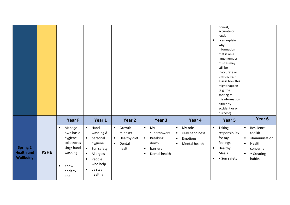|                                                          |             |                                                                                                                                                                                                          |                                                                                                                 |                                                                                              |                                                                                                                               |                                                                                                            | honest,<br>accurate or<br>legal.<br>I can explain<br>$\bullet$<br>why<br>information<br>that is on a<br>large number<br>of sites may<br>still be<br>inaccurate or<br>untrue. I can<br>assess how this<br>might happen<br>(e.g. the<br>sharing of<br>misinformation<br>either by<br>accident or on<br>purpose). |                                                                                                                                          |
|----------------------------------------------------------|-------------|----------------------------------------------------------------------------------------------------------------------------------------------------------------------------------------------------------|-----------------------------------------------------------------------------------------------------------------|----------------------------------------------------------------------------------------------|-------------------------------------------------------------------------------------------------------------------------------|------------------------------------------------------------------------------------------------------------|----------------------------------------------------------------------------------------------------------------------------------------------------------------------------------------------------------------------------------------------------------------------------------------------------------------|------------------------------------------------------------------------------------------------------------------------------------------|
|                                                          |             | <b>Year F</b>                                                                                                                                                                                            | Year 1                                                                                                          | Year 2                                                                                       | Year 3                                                                                                                        | Year 4                                                                                                     | Year 5                                                                                                                                                                                                                                                                                                         | Year 6                                                                                                                                   |
| <b>Spring 2</b><br><b>Health and</b><br><b>Wellbeing</b> | <b>PSHE</b> | Manage<br>$\bullet$<br>$\bullet$<br>own basic<br>hygiene-<br>$\bullet$<br>toilet/dres<br>sing/hand<br>$\bullet$<br>washing<br>$\bullet$<br>$\bullet$<br>Know<br>$\bullet$<br>$\bullet$<br>healthy<br>and | Hand<br>washing &<br>personal<br>hygiene<br>Sun safety<br>Allergies<br>People<br>who help<br>us stay<br>healthy | Growth<br>$\bullet$<br>mindset<br>Healthy diet<br>$\bullet$<br>Dental<br>$\bullet$<br>health | My<br>$\bullet$<br>superpowers<br>$\bullet$<br><b>Breaking</b><br>down<br>barriers<br>$\bullet$<br>Dental health<br>$\bullet$ | My role<br>$\bullet$<br>• My happiness<br>$\bullet$<br>Emotions<br>$\bullet$<br>Mental health<br>$\bullet$ | Taking<br>$\bullet$<br>responsibility<br>for my<br>feelings<br>Healthy<br>$\bullet$<br>Meals<br>• Sun safety<br>$\bullet$                                                                                                                                                                                      | Resilience<br>$\bullet$<br>toolkit<br>·Immunisation<br>$\bullet$<br>Health<br>$\bullet$<br>concerns<br>• Creating<br>$\bullet$<br>habits |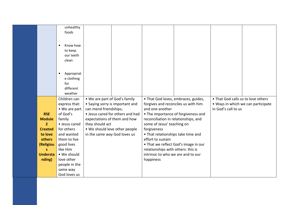|                 | unhealthy                |                                  |                                      |                                      |                                    |  |
|-----------------|--------------------------|----------------------------------|--------------------------------------|--------------------------------------|------------------------------------|--|
|                 | foods                    |                                  |                                      |                                      |                                    |  |
|                 |                          |                                  |                                      |                                      |                                    |  |
|                 |                          |                                  |                                      |                                      |                                    |  |
|                 | Know how<br>$\bullet$    |                                  |                                      |                                      |                                    |  |
|                 | to keep                  |                                  |                                      |                                      |                                    |  |
|                 | our teeth                |                                  |                                      |                                      |                                    |  |
|                 | clean                    |                                  |                                      |                                      |                                    |  |
|                 |                          |                                  |                                      |                                      |                                    |  |
|                 | Appropriat<br>$\bullet$  |                                  |                                      |                                      |                                    |  |
|                 | e clothing               |                                  |                                      |                                      |                                    |  |
|                 | for                      |                                  |                                      |                                      |                                    |  |
|                 | different                |                                  |                                      |                                      |                                    |  |
|                 | weather                  |                                  |                                      |                                      |                                    |  |
|                 | Children can             | • We are part of God's family    |                                      | • That God loves, embraces, guides,  | • That God calls us to love others |  |
|                 | express that:            | • Saying sorry is important and  | forgives and reconciles us with him  |                                      | . Ways in which we can participate |  |
|                 | • We are part            | can mend friendships;            | and one another                      |                                      | in God's call to us                |  |
| <b>RSE</b>      | of God's                 | • Jesus cared for others and had |                                      | • The importance of forgiveness and  |                                    |  |
| <b>Module</b>   | family                   | expectations of them and how     | reconciliation in relationships, and |                                      |                                    |  |
| 2 <sup>1</sup>  | • Jesus cared            | they should act                  | some of Jesus' teaching on           |                                      |                                    |  |
| <b>Created</b>  | for others               | . We should love other people    | forgiveness                          |                                      |                                    |  |
| to love         | and wanted               | in the same way God loves us     | • That relationships take time and   |                                      |                                    |  |
| others          | them to live             |                                  | effort to sustain                    |                                      |                                    |  |
| (Religiou       | good lives               |                                  |                                      | • That we reflect God's image in our |                                    |  |
| s.              | like Him                 |                                  | relationships with others: this is   |                                      |                                    |  |
| <b>Understa</b> | • We should              |                                  | intrinsic to who we are and to our   |                                      |                                    |  |
| nding)          | love other               |                                  | happiness                            |                                      |                                    |  |
|                 | people in the            |                                  |                                      |                                      |                                    |  |
|                 |                          |                                  |                                      |                                      |                                    |  |
|                 | same way<br>God loves us |                                  |                                      |                                      |                                    |  |
|                 |                          |                                  |                                      |                                      |                                    |  |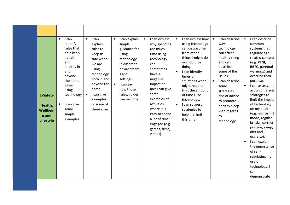|                                                                     | $\bullet$<br>I can                                                                                                                                                                        | $\bullet$ I can                                                                                                                                                            | I can explain<br>$\bullet$                                                                                                                                                | I can explain how<br>I can explain<br>$\bullet$<br>$\bullet$                                                                                                                                                                                                                                                                                                                                                                                                                                                                                                                             | I can describe<br>I can describe                                                                                                                                                                                                                                                                                                                                                                                                                                                                                                                                                                                                                                                                                                                                      |
|---------------------------------------------------------------------|-------------------------------------------------------------------------------------------------------------------------------------------------------------------------------------------|----------------------------------------------------------------------------------------------------------------------------------------------------------------------------|---------------------------------------------------------------------------------------------------------------------------------------------------------------------------|------------------------------------------------------------------------------------------------------------------------------------------------------------------------------------------------------------------------------------------------------------------------------------------------------------------------------------------------------------------------------------------------------------------------------------------------------------------------------------------------------------------------------------------------------------------------------------------|-----------------------------------------------------------------------------------------------------------------------------------------------------------------------------------------------------------------------------------------------------------------------------------------------------------------------------------------------------------------------------------------------------------------------------------------------------------------------------------------------------------------------------------------------------------------------------------------------------------------------------------------------------------------------------------------------------------------------------------------------------------------------|
| <b>E-Safety</b><br>Health,<br>Wellbein<br>g and<br><b>Lifestyle</b> | identify<br>rules that<br>help keep<br>us safe<br>and<br>healthy in<br>and<br>beyond<br>the home<br>when<br>using<br>technology<br>I can give<br>$\bullet$<br>some<br>simple<br>examples. | explain<br>rules to<br>keep us<br>safe when<br>we are<br>using<br>technology<br>both in and<br>beyond the<br>home.<br>I can give<br>examples<br>of some of<br>these rules. | simple<br>guidance for<br>using<br>technology<br>in different<br>environment<br>s and<br>settings.<br>$\bullet$<br>I can say<br>how those<br>rules/guides<br>can help me. | using technology<br>why spending<br>can distract me<br>too much<br>from other<br>time using<br>things I might do<br>technology<br>or should be<br>can<br>doing.<br>sometimes<br>I can identify<br>$\bullet$<br>have a<br>times or<br>negative<br>situations when I<br>impact on<br>might need to<br>me; I can give<br>limit the amount<br>some<br>of time I use<br>examples of<br>technology.<br>activities<br>I can suggest<br>$\bullet$<br>where it is<br>strategies to<br>easy to spend<br>help me limit<br>a lot of time<br>this time.<br>engaged (e.g.<br>games, films,<br>videos). | ways<br>common<br>technology<br>systems that<br>can affect<br>regulate age-<br>healthy sleep<br>related content<br>and can<br>$(e.g.$ PEGI,<br>describe<br><b>BBFC</b> , parental<br>some of the<br>warnings) and<br>describe their<br>issues.<br>I can describe<br>$\bullet$<br>purpose.<br>I can assess and<br>$\bullet$<br>some<br>action different<br>strategies,<br>strategies to<br>tips or advice<br>limit the impact<br>to promote<br>of technology<br>healthy sleep<br>on my health<br>with regards<br>(e.g. night-shift<br>to<br>mode, regular<br>technology.<br>breaks, correct<br>posture, sleep,<br>diet and<br>exercise).<br>I can explain<br>$\bullet$<br>the importance<br>of self-<br>regulating my<br>use of<br>technology; I<br>can<br>demonstrate |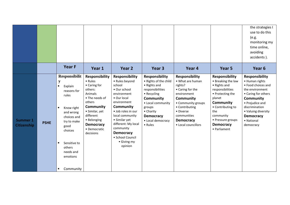|                                       |             |                                                                                                                                                                                                                        |                                                                                                                                                                                                         |                                                                                                                                                                                                                                                                                             |                                                                                                                                                                                                                |                                                                                                                                                                                                                     |                                                                                                                                                                                                                                     | the strategies I<br>use to do this<br>(e.g.<br>monitoring my<br>time online,<br>avoiding<br>accidents).                                                                                                                         |
|---------------------------------------|-------------|------------------------------------------------------------------------------------------------------------------------------------------------------------------------------------------------------------------------|---------------------------------------------------------------------------------------------------------------------------------------------------------------------------------------------------------|---------------------------------------------------------------------------------------------------------------------------------------------------------------------------------------------------------------------------------------------------------------------------------------------|----------------------------------------------------------------------------------------------------------------------------------------------------------------------------------------------------------------|---------------------------------------------------------------------------------------------------------------------------------------------------------------------------------------------------------------------|-------------------------------------------------------------------------------------------------------------------------------------------------------------------------------------------------------------------------------------|---------------------------------------------------------------------------------------------------------------------------------------------------------------------------------------------------------------------------------|
|                                       |             | <b>Year F</b>                                                                                                                                                                                                          | Year 1                                                                                                                                                                                                  | Year 2                                                                                                                                                                                                                                                                                      | Year <sub>3</sub>                                                                                                                                                                                              | Year 4                                                                                                                                                                                                              | Year 5                                                                                                                                                                                                                              | Year <sub>6</sub>                                                                                                                                                                                                               |
| <b>Summer 1</b><br><b>Citizenship</b> | <b>PSHE</b> | Responsibilit<br>${\bf y}$<br>Explain<br>$\bullet$<br>reasons for<br>rules<br>Know right<br>and wrong<br>choices and<br>try to make<br>good<br>choices<br>Sensitive to<br>others<br>needs and<br>emotions<br>Community | Responsibility<br>• Rules<br>• Caring for<br>others:<br>Animals<br>• The needs of<br>others<br>Community<br>• Similar, yet<br>different<br>• Belonging<br><b>Democracy</b><br>• Democratic<br>decisions | <b>Responsibility</b><br>• Rules beyond<br>school<br>• Our school<br>environment<br>• Our local<br>environment<br>Community<br>· Job roles in our<br>local community<br>• Similar yet<br>different: My local<br>community<br><b>Democracy</b><br>· School Council<br>• Giving my<br>opinion | <b>Responsibility</b><br>• Rights of the child<br>• Rights and<br>responsibilities<br>• Recycling<br>Community<br>• Local community<br>groups<br>• Charity<br><b>Democracy</b><br>• Local democracy<br>• Rules | <b>Responsibility</b><br>• What are human<br>rights?<br>• Caring for the<br>environment<br>Community<br>• Community groups<br>• Contributing<br>• Diverse<br>communities<br><b>Democracy</b><br>• Local councillors | <b>Responsibility</b><br>• Breaking the law<br>• Rights and<br>responsibilities<br>• Protecting the<br>planet<br><b>Community</b><br>• Contributing to<br>the<br>community<br>• Pressure groups<br><b>Democracy</b><br>• Parliament | <b>Responsibility</b><br>• Human rights<br>• Food choices and<br>the environment<br>• Caring for others<br>Community<br>• Prejudice and<br>discrimination<br>• Valuing diversity<br><b>Democracy</b><br>• National<br>democracy |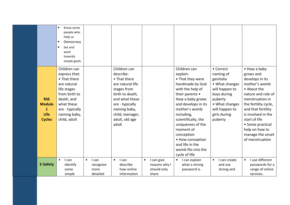|                                                                      | Know some<br>$\bullet$<br>people who<br>help us<br>Democracy<br>Set and<br>work<br>towards<br>simple goals<br>Children can<br>express that:<br>• That there<br>are natural |                                                     | Children can<br>describe:<br>• That there<br>are natural life                                                                      |                                                                  | Children can<br>explain:<br>• That they were<br>handmade by God                                                                                                                                                                                                    | • Correct<br>naming of<br>genitalia<br>• What changes                                                   | • How a baby<br>grows and<br>develops in its<br>mother's womb                                                                                                                                                          |
|----------------------------------------------------------------------|----------------------------------------------------------------------------------------------------------------------------------------------------------------------------|-----------------------------------------------------|------------------------------------------------------------------------------------------------------------------------------------|------------------------------------------------------------------|--------------------------------------------------------------------------------------------------------------------------------------------------------------------------------------------------------------------------------------------------------------------|---------------------------------------------------------------------------------------------------------|------------------------------------------------------------------------------------------------------------------------------------------------------------------------------------------------------------------------|
| <b>RSE</b><br><b>Module</b><br>$\mathbf{1}$<br>Life<br><b>Cycles</b> | life stages<br>from birth to<br>death, and<br>what these<br>are - typically<br>naming baby,<br>child, adult                                                                |                                                     | stages from<br>birth to death,<br>and what these<br>are - typically<br>naming baby,<br>child, teenager,<br>adult, old age<br>adult |                                                                  | with the help of<br>their parents •<br>How a baby grows<br>and develops in its<br>mother's womb<br>including,<br>scientifically, the<br>uniqueness of the<br>moment of<br>conception<br>• How conception<br>and life in the<br>womb fits into the<br>cycle of life | will happen to<br>boys during<br>puberty<br>• What changes<br>will happen to<br>girls during<br>puberty | • About the<br>nature and role of<br>menstruation in<br>the fertility cycle,<br>and that fertility<br>is involved in the<br>start of life<br>• Some practical<br>help on how to<br>manage the onset<br>of menstruation |
| <b>E-Safety</b>                                                      | I can<br>identify<br>some<br>simple                                                                                                                                        | I can<br>$\bullet$<br>recognise<br>more<br>detailed | I can<br>$\bullet$<br>describe<br>how online<br>information                                                                        | I can give<br>$\bullet$<br>reasons why I<br>should only<br>share | I can explain<br>$\bullet$<br>what a strong<br>password is.                                                                                                                                                                                                        | I can create<br>$\bullet$<br>and use<br>strong and                                                      | I use different<br>$\bullet$<br>passwords for a<br>range of online<br>services.                                                                                                                                        |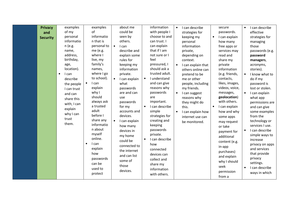| <b>Privacy</b><br>and<br><b>Security</b> | examples<br>of my<br>personal<br>informatio                                                                                                                                                                      | examples<br>of<br>informatio<br>n that is                                                                                                                                                                                                                                                                                                             | about me<br>could be<br>seen by<br>others.                                                                                                                                                                                                                                                                                                                                                          | information<br>with people I<br>choose to and<br>can trust. I                                                                                                                                                                                                                                                                                                                                                                      | I can describe<br>$\bullet$<br>strategies for<br>keeping my<br>personal                                                                                                                                                                                                                                          | secure<br>passwords.<br>I can explain<br>$\bullet$<br>how many                                                                                                                                                                                                                                                                                                                                             | I can describe<br>$\bullet$<br>effective<br>strategies for<br>managing                                                                                                                                                                                                                                                                                                                                                                     |
|------------------------------------------|------------------------------------------------------------------------------------------------------------------------------------------------------------------------------------------------------------------|-------------------------------------------------------------------------------------------------------------------------------------------------------------------------------------------------------------------------------------------------------------------------------------------------------------------------------------------------------|-----------------------------------------------------------------------------------------------------------------------------------------------------------------------------------------------------------------------------------------------------------------------------------------------------------------------------------------------------------------------------------------------------|------------------------------------------------------------------------------------------------------------------------------------------------------------------------------------------------------------------------------------------------------------------------------------------------------------------------------------------------------------------------------------------------------------------------------------|------------------------------------------------------------------------------------------------------------------------------------------------------------------------------------------------------------------------------------------------------------------------------------------------------------------|------------------------------------------------------------------------------------------------------------------------------------------------------------------------------------------------------------------------------------------------------------------------------------------------------------------------------------------------------------------------------------------------------------|--------------------------------------------------------------------------------------------------------------------------------------------------------------------------------------------------------------------------------------------------------------------------------------------------------------------------------------------------------------------------------------------------------------------------------------------|
|                                          | n (e.g.<br>name,<br>address,<br>birthday,<br>age,<br>location).<br>I can<br>$\bullet$<br>describe<br>the people<br>I can trust<br>and can<br>share this<br>with; I can<br>explain<br>why I can<br>trust<br>them. | personal to<br>me (e.g.<br>where I<br>live, my<br>family's<br>names,<br>where I go<br>to school).<br>I can<br>$\bullet$<br>explain<br>why I<br>should<br>always ask<br>a trusted<br>adult<br>before I<br>share any<br>informatio<br>n about<br>myself<br>online.<br>I can<br>$\bullet$<br>explain<br>how<br>passwords<br>can be<br>used to<br>protect | $\bullet$<br>I can<br>describe and<br>explain some<br>rules for<br>keeping my<br>information<br>private.<br>I can explain<br>$\bullet$<br>what<br>passwords<br>are and can<br>use<br>passwords<br>for my<br>accounts and<br>devices.<br>$\bullet$<br>I can explain<br>how many<br>devices in<br>my home<br>could be<br>connected to<br>the internet<br>and can list<br>some of<br>those<br>devices. | can explain<br>that if I am<br>not sure or I<br>feel<br>pressured, I<br>should ask a<br>trusted adult.<br>I understand<br>$\bullet$<br>and can give<br>reasons why<br>passwords<br>are<br>important.<br>I can describe<br>$\bullet$<br>simple<br>strategies for<br>creating and<br>keeping<br>passwords<br>private.<br>I can describe<br>how<br>connected<br>devices can<br>collect and<br>share my<br>information<br>with others. | information<br>private,<br>depending on<br>context.<br>I can explain that<br>$\bullet$<br>others online can<br>pretend to be<br>me or other<br>people, including<br>my friends.<br>I can suggest<br>$\bullet$<br>reasons why<br>they might do<br>this.<br>I can explain how<br>internet use can<br>be monitored. | free apps or<br>services may<br>read and<br>share my<br>private<br>information<br>(e.g. friends,<br>contacts,<br>likes, images,<br>videos, voice,<br>messages,<br>geolocation)<br>with others.<br>I can explain<br>how and why<br>some apps<br>may request<br>or take<br>payment for<br>additional<br>content (e.g.<br>in-app<br>purchases)<br>and explain<br>why I should<br>seek<br>permission<br>from a | those<br>passwords (e.g.<br>password<br>managers,<br>acronyms,<br>stories).<br>I know what to<br>do if my<br>password is<br>lost or stolen.<br>I can explain<br>what app<br>permissions are<br>and can give<br>some examples<br>from the<br>technology or<br>services I use.<br>I can describe<br>simple ways to<br>increase<br>privacy on apps<br>and services<br>that provide<br>privacy<br>settings.<br>I can describe<br>ways in which |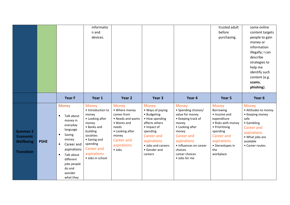|                                                                      |             |                                                                                                                                                                                                                                        | informatio<br>n and<br>devices.                                                                                                                                                             |                                                                                                                                                                     |                                                                                                                                                                                              |                                                                                                                                                                                                                        | trusted adult<br>before<br>purchasing.                                                                                                                                            | some online<br>content targets<br>people to gain<br>money or<br>information<br>illegally; I can<br>describe<br>strategies to<br>help me<br>identify such<br>content (e.g.<br>scams,<br>phishing). |
|----------------------------------------------------------------------|-------------|----------------------------------------------------------------------------------------------------------------------------------------------------------------------------------------------------------------------------------------|---------------------------------------------------------------------------------------------------------------------------------------------------------------------------------------------|---------------------------------------------------------------------------------------------------------------------------------------------------------------------|----------------------------------------------------------------------------------------------------------------------------------------------------------------------------------------------|------------------------------------------------------------------------------------------------------------------------------------------------------------------------------------------------------------------------|-----------------------------------------------------------------------------------------------------------------------------------------------------------------------------------|---------------------------------------------------------------------------------------------------------------------------------------------------------------------------------------------------|
|                                                                      |             | Year F                                                                                                                                                                                                                                 | Year 1                                                                                                                                                                                      | Year <sub>2</sub>                                                                                                                                                   | Year 3                                                                                                                                                                                       | Year 4                                                                                                                                                                                                                 | Year 5                                                                                                                                                                            | Year 6                                                                                                                                                                                            |
| <b>Summer 2</b><br><b>Economic</b><br>Wellbeing<br><b>Transition</b> | <b>PSHE</b> | Money<br>Talk about<br>$\bullet$<br>money in<br>everyday<br>language<br>Saving<br>$\bullet$<br>money<br>Career and<br>$\bullet$<br>aspirations<br>Talk about<br>$\bullet$<br>different<br>jobs people<br>do and<br>wonder<br>what they | <b>Money</b><br>• Introduction to<br>money<br>• Looking after<br>money<br>• Banks and<br>building<br>societies<br>• Saving and<br>spending<br>Career and<br>aspirations<br>· Jobs in school | <b>Money</b><br>• Where money<br>comes from<br>• Needs and wants<br>• Wants and<br>needs<br>• Looking after<br>money<br>Career and<br>aspirations<br>$\bullet$ Jobs | <b>Money</b><br>• Ways of paying<br>• Budgeting<br>• How spending<br>affects others<br>· Impact of<br>spending<br>Career and<br>aspirations<br>• Jobs and careers<br>• Gender and<br>careers | <b>Money</b><br>• Spending choices/<br>value for money<br>• Keeping track of<br>money<br>• Looking after<br>money<br>Career and<br>aspirations<br>• influences on career<br>choices<br>career choices<br>· Jobs for me | <b>Money</b><br>Borrowing<br>• Income and<br>expenditure<br>• Risks with money<br>• Prioritising<br>spending<br>Career and<br>aspirations<br>• Stereotypes in<br>the<br>workplace | <b>Money</b><br>• Attitudes to money<br>• Keeping money<br>safe<br>• Gambling<br>Career and<br>aspirations<br>• What jobs are<br>available<br>• Career routes                                     |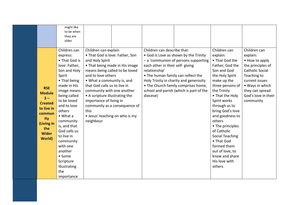|                                                                                                                                              | might like<br>to be when<br>they are<br>older                                                                                                                                                                                                                                                                                                                             |                                                                                                                                                                                                                                                                                                                                                                                      |                               |                                                                                                                                    |                                                                                                                                                                                                           |                                                                                                                                                                                                                                                                                                                                                                                                           |                                                                                                                                                                                                      |
|----------------------------------------------------------------------------------------------------------------------------------------------|---------------------------------------------------------------------------------------------------------------------------------------------------------------------------------------------------------------------------------------------------------------------------------------------------------------------------------------------------------------------------|--------------------------------------------------------------------------------------------------------------------------------------------------------------------------------------------------------------------------------------------------------------------------------------------------------------------------------------------------------------------------------------|-------------------------------|------------------------------------------------------------------------------------------------------------------------------------|-----------------------------------------------------------------------------------------------------------------------------------------------------------------------------------------------------------|-----------------------------------------------------------------------------------------------------------------------------------------------------------------------------------------------------------------------------------------------------------------------------------------------------------------------------------------------------------------------------------------------------------|------------------------------------------------------------------------------------------------------------------------------------------------------------------------------------------------------|
| <b>RSE</b><br><b>Module</b><br>$3 -$<br><b>Created</b><br>to live in<br>commun<br>ity<br>(Living in<br>the<br><b>Wider</b><br><b>World</b> ) | Children can<br>express:<br>• That God is<br>love: Father,<br>Son and Holy<br>Spirit<br>• That being<br>made in His<br>image means<br>being called<br>to be loved<br>and to love<br>others<br>$\bullet$ What a<br>community<br>is, and that<br>God calls us<br>to live in<br>community<br>with one<br>another<br>• Some<br>Scripture<br>illustrating<br>the<br>importance | Children can explain<br>• That God is love: Father, Son<br>and Holy Spirit<br>• That being made in His image<br>means being called to be loved<br>and to love others<br>• What a community is, and<br>that God calls us to live in<br>community with one another<br>• A scripture illustrating the<br>importance of living in<br>this<br>• Jesus' teaching on who is my<br>neighbour | community as a consequence of | Children can describe that:<br>each other in their self- giving<br>relationship'<br>• The human family can reflect the<br>diocese) | • God is Love as shown by the Trinity<br>- a 'communion of persons supporting<br>Holy Trinity in charity and generosity<br>• The Church family comprises home,<br>school and parish (which is part of the | Children can<br>explain:<br>• That God the<br>Father, God the<br>Son and God<br>the Holy Spirit<br>make up the<br>three persons of<br>the Trinity<br>• That the Holy<br>Spirit works<br>through us to<br>bring God's love<br>and goodness to<br>others<br>• The principles<br>of Catholic<br>Social Teaching<br>• That God<br>formed them<br>out of love, to<br>know and share<br>His love with<br>others | Children can<br>explain:<br>• How to apply<br>the principles of<br><b>Catholic Social</b><br>Teaching to<br>current issues<br>• Ways in which<br>they can spread<br>God's love in their<br>community |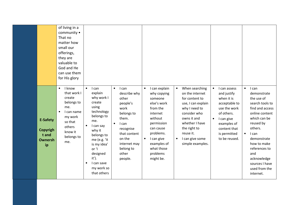|                                                              | of living in a<br>community •<br>That no<br>matter how<br>small our<br>offerings,<br>they are<br>valuable to<br>God and He<br>can use them<br>for His glory |                                                                                                                                                                                                                                                                          |                                                                                                                                                                                                      |                                                                                                                                                                                                                                 |                                                                                                                                                                                                                                           |                                                                                                                                                                                                  |                                                                                                                                                                                                                                                                                            |
|--------------------------------------------------------------|-------------------------------------------------------------------------------------------------------------------------------------------------------------|--------------------------------------------------------------------------------------------------------------------------------------------------------------------------------------------------------------------------------------------------------------------------|------------------------------------------------------------------------------------------------------------------------------------------------------------------------------------------------------|---------------------------------------------------------------------------------------------------------------------------------------------------------------------------------------------------------------------------------|-------------------------------------------------------------------------------------------------------------------------------------------------------------------------------------------------------------------------------------------|--------------------------------------------------------------------------------------------------------------------------------------------------------------------------------------------------|--------------------------------------------------------------------------------------------------------------------------------------------------------------------------------------------------------------------------------------------------------------------------------------------|
| <b>E-Safety</b><br>Copyrigh<br>t and<br><b>Ownersh</b><br>ip | <b>I</b> know<br>$\bullet$<br>that work I<br>create<br>belongs to<br>me.<br>I can name<br>my work<br>so that<br>others<br>know it<br>belongs to<br>me.      | $\bullet$<br>I can<br>explain<br>why work I<br>create<br>using<br>technology<br>belongs to<br>me.<br>I can say<br>$\bullet$<br>why it<br>belongs to<br>me (e.g. 'it<br>is my idea'<br>or 'I<br>designed<br>it').<br>I can save<br>$\bullet$<br>my work so<br>that others | I can<br>$\bullet$<br>describe why<br>other<br>people's<br>work<br>belongs to<br>them.<br>I can<br>$\bullet$<br>recognise<br>that content<br>on the<br>internet may<br>belong to<br>other<br>people. | I can explain<br>$\bullet$<br>why copying<br>someone<br>else's work<br>from the<br>internet<br>without<br>permission<br>can cause<br>problems.<br>I can give<br>$\bullet$<br>examples of<br>what those<br>problems<br>might be. | When searching<br>$\bullet$<br>on the internet<br>for content to<br>use, I can explain<br>why I need to<br>consider who<br>owns it and<br>whether I have<br>the right to<br>reuse it.<br>I can give some<br>$\bullet$<br>simple examples. | $\bullet$<br>I can assess<br>and justify<br>when it is<br>acceptable to<br>use the work<br>of others.<br>I can give<br>$\bullet$<br>examples of<br>content that<br>is permitted<br>to be reused. | I can<br>$\bullet$<br>demonstrate<br>the use of<br>search tools to<br>find and access<br>online content<br>which can be<br>reused by<br>others.<br>$\bullet$<br>I can<br>demonstrate<br>how to make<br>references to<br>and<br>acknowledge<br>sources I have<br>used from the<br>internet. |